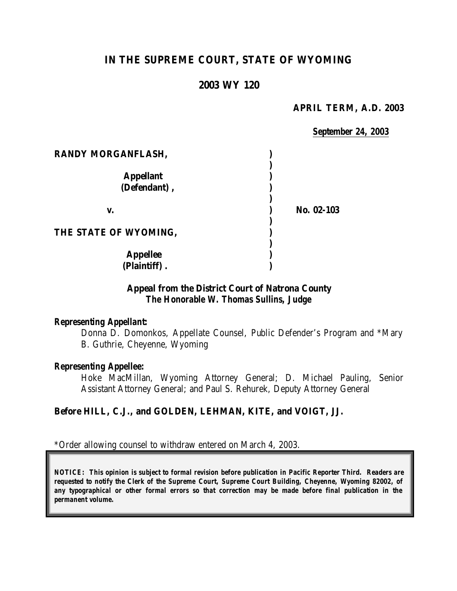# **IN THE SUPREME COURT, STATE OF WYOMING**

## **2003 WY 120**

## **APRIL TERM, A.D. 2003**

*September 24, 2003*

| RANDY MORGANFLASH,               |            |
|----------------------------------|------------|
| <b>Appellant</b><br>(Defendant), |            |
| V.                               | No. 02-103 |
| THE STATE OF WYOMING,            |            |
| <b>Appellee</b><br>(Plaintiff).  |            |

## **Appeal from the District Court of Natrona County** *The Honorable W. Thomas Sullins, Judge*

## *Representing Appellant:*

Donna D. Domonkos, Appellate Counsel, Public Defender's Program and \*Mary B. Guthrie, Cheyenne, Wyoming

## *Representing Appellee:*

Hoke MacMillan, Wyoming Attorney General; D. Michael Pauling, Senior Assistant Attorney General; and Paul S. Rehurek, Deputy Attorney General

## **Before HILL, C.J., and GOLDEN, LEHMAN, KITE, and VOIGT, JJ.**

\*Order allowing counsel to withdraw entered on March 4, 2003.

*NOTICE: This opinion is subject to formal revision before publication in Pacific Reporter Third. Readers are requested to notify the Clerk of the Supreme Court, Supreme Court Building, Cheyenne, Wyoming 82002, of any typographical or other formal errors so that correction may be made before final publication in the permanent volume.*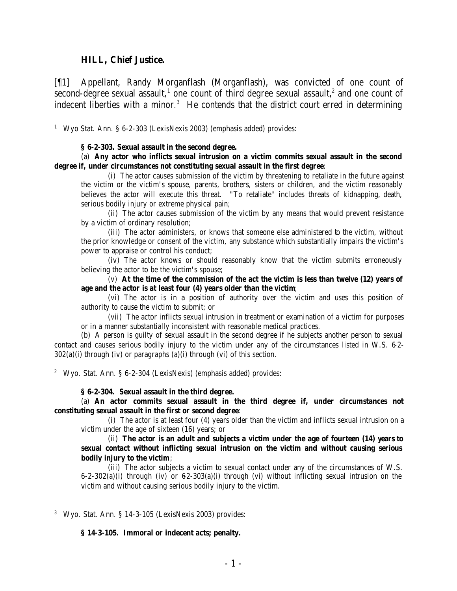### **HILL, Chief Justice.**

[¶1] Appellant, Randy Morganflash (Morganflash), was convicted of one count of second-degree sexual assault,<sup>1</sup> one count of third degree sexual assault,<sup>2</sup> and one count of indecent liberties with a minor.<sup>3</sup> He contends that the district court erred in determining

<sup>1</sup> Wyo Stat. Ann. § 6-2-303 (LexisNexis 2003) (emphasis added) provides:

**§ 6-2-303. Sexual assault in the second degree.**

(a) **Any actor who inflicts sexual intrusion on a victim commits sexual assault in the second degree if, under circumstances not constituting sexual assault in the first degree**:

(i) The actor causes submission of the victim by threatening to retaliate in the future against the victim or the victim's spouse, parents, brothers, sisters or children, and the victim reasonably believes the actor will execute this threat. "To retaliate" includes threats of kidnapping, death, serious bodily injury or extreme physical pain;

(ii) The actor causes submission of the victim by any means that would prevent resistance by a victim of ordinary resolution;

(iii) The actor administers, or knows that someone else administered to the victim, without the prior knowledge or consent of the victim, any substance which substantially impairs the victim's power to appraise or control his conduct;

(iv) The actor knows or should reasonably know that the victim submits erroneously believing the actor to be the victim's spouse;

(v) **At the time of the commission of the act the victim is less than twelve (12) years of age and the actor is at least four (4) years older than the victim**;

(vi) The actor is in a position of authority over the victim and uses this position of authority to cause the victim to submit; or

(vii) The actor inflicts sexual intrusion in treatment or examination of a victim for purposes or in a manner substantially inconsistent with reasonable medical practices.

(b) A person is guilty of sexual assault in the second degree if he subjects another person to sexual contact and causes serious bodily injury to the victim under any of the circumstances listed in W.S. 6-2-  $302(a)(i)$  through (iv) or paragraphs  $(a)(i)$  through (vi) of this section.

<sup>2</sup> Wyo. Stat. Ann. § 6-2-304 (LexisNexis) (emphasis added) provides:

#### **§ 6-2-304. Sexual assault in the third degree.**

(a) **An actor commits sexual assault in the third degree if, under circumstances not constituting sexual assault in the first or second degree**:

(i) The actor is at least four (4) years older than the victim and inflicts sexual intrusion on a victim under the age of sixteen (16) years; or

### (ii) **The actor is an adult and subjects a victim under the age of fourteen (14) years to sexual contact without inflicting sexual intrusion on the victim and without causing serious bodily injury to the victim**;

(iii) The actor subjects a victim to sexual contact under any of the circumstances of W.S.  $6-2-302(a)(i)$  through (iv) or  $62-303(a)(i)$  through (vi) without inflicting sexual intrusion on the victim and without causing serious bodily injury to the victim.

3 Wyo. Stat. Ann. § 14-3-105 (LexisNexis 2003) provides:

#### **§ 14-3-105. Immoral or indecent acts; penalty.**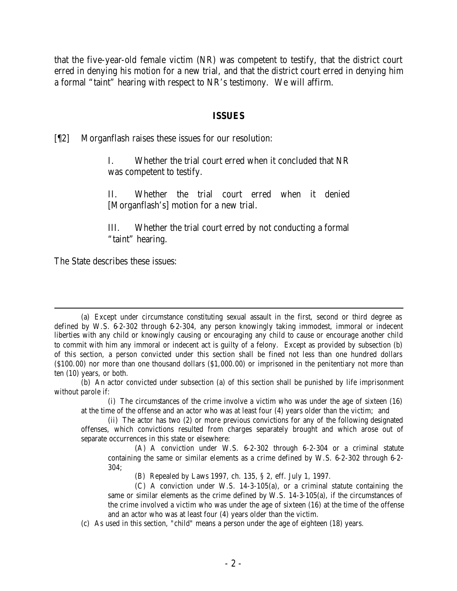that the five-year-old female victim (NR) was competent to testify, that the district court erred in denying his motion for a new trial, and that the district court erred in denying him a formal "taint" hearing with respect to NR's testimony. We will affirm.

### **ISSUES**

[¶2] Morganflash raises these issues for our resolution:

I. Whether the trial court erred when it concluded that NR was competent to testify.

II. Whether the trial court erred when it denied [Morganflash's] motion for a new trial.

III. Whether the trial court erred by not conducting a formal "taint" hearing.

The State describes these issues:

(i) The circumstances of the crime involve a victim who was under the age of sixteen (16) at the time of the offense and an actor who was at least four (4) years older than the victim; and

(B) Repealed by Laws 1997, ch. 135, § 2, eff. July 1, 1997.

<sup>(</sup>a) Except under circumstance constituting sexual assault in the first, second or third degree as defined by W.S. 6-2-302 through 6-2-304, any person knowingly taking immodest, immoral or indecent liberties with any child or knowingly causing or encouraging any child to cause or encourage another child to commit with him any immoral or indecent act is guilty of a felony. Except as provided by subsection (b) of this section, a person convicted under this section shall be fined not less than one hundred dollars (\$100.00) nor more than one thousand dollars (\$1,000.00) or imprisoned in the penitentiary not more than ten (10) years, or both.

<sup>(</sup>b) An actor convicted under subsection (a) of this section shall be punished by life imprisonment without parole if:

<sup>(</sup>ii) The actor has two (2) or more previous convictions for any of the following designated offenses, which convictions resulted from charges separately brought and which arose out of separate occurrences in this state or elsewhere:

<sup>(</sup>A) A conviction under W.S. 6-2-302 through 6-2-304 or a criminal statute containing the same or similar elements as a crime defined by W.S. 6-2-302 through 6-2- 304;

<sup>(</sup>C) A conviction under W.S. 14-3-105(a), or a criminal statute containing the same or similar elements as the crime defined by W.S. 14-3-105(a), if the circumstances of the crime involved a victim who was under the age of sixteen (16) at the time of the offense and an actor who was at least four (4) years older than the victim.

<sup>(</sup>c) As used in this section, "child" means a person under the age of eighteen (18) years.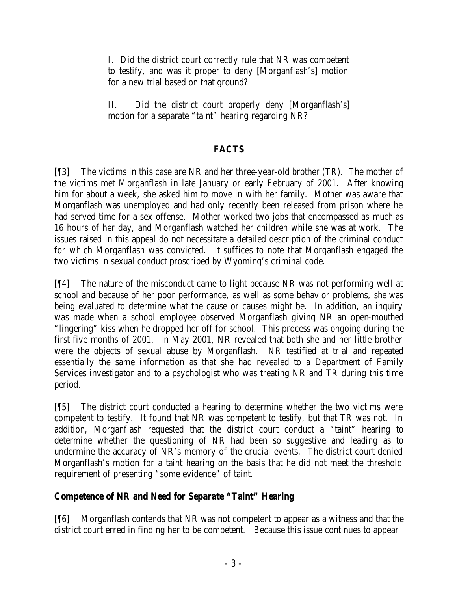I. Did the district court correctly rule that NR was competent to testify, and was it proper to deny [Morganflash's] motion for a new trial based on that ground?

II. Did the district court properly deny [Morganflash's] motion for a separate "taint" hearing regarding NR?

# **FACTS**

[¶3] The victims in this case are NR and her three-year-old brother (TR). The mother of the victims met Morganflash in late January or early February of 2001. After knowing him for about a week, she asked him to move in with her family. Mother was aware that Morganflash was unemployed and had only recently been released from prison where he had served time for a sex offense. Mother worked two jobs that encompassed as much as 16 hours of her day, and Morganflash watched her children while she was at work. The issues raised in this appeal do not necessitate a detailed description of the criminal conduct for which Morganflash was convicted. It suffices to note that Morganflash engaged the two victims in sexual conduct proscribed by Wyoming's criminal code.

[¶4] The nature of the misconduct came to light because NR was not performing well at school and because of her poor performance, as well as some behavior problems, she was being evaluated to determine what the cause or causes might be. In addition, an inquiry was made when a school employee observed Morganflash giving NR an open-mouthed "lingering" kiss when he dropped her off for school. This process was ongoing during the first five months of 2001. In May 2001, NR revealed that both she and her little brother were the objects of sexual abuse by Morganflash. NR testified at trial and repeated essentially the same information as that she had revealed to a Department of Family Services investigator and to a psychologist who was treating NR and TR during this time period.

[¶5] The district court conducted a hearing to determine whether the two victims were competent to testify. It found that NR was competent to testify, but that TR was not. In addition, Morganflash requested that the district court conduct a "taint" hearing to determine whether the questioning of NR had been so suggestive and leading as to undermine the accuracy of NR's memory of the crucial events. The district court denied Morganflash's motion for a taint hearing on the basis that he did not meet the threshold requirement of presenting "some evidence" of taint.

# **Competence of NR and Need for Separate "Taint" Hearing**

[¶6] Morganflash contends that NR was not competent to appear as a witness and that the district court erred in finding her to be competent. Because this issue continues to appear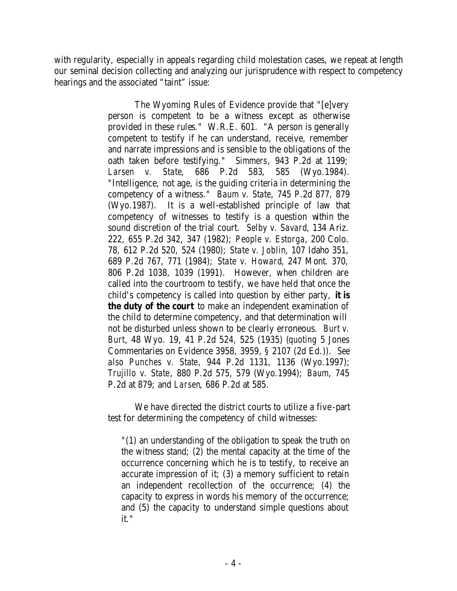with regularity, especially in appeals regarding child molestation cases, we repeat at length our seminal decision collecting and analyzing our jurisprudence with respect to competency hearings and the associated "taint" issue:

> The Wyoming Rules of Evidence provide that "[e]very person is competent to be a witness except as otherwise provided in these rules." W.R.E. 601. "A person is generally competent to testify if he can understand, receive, remember and narrate impressions and is sensible to the obligations of the oath taken before testifying." *Simmers*, 943 P.2d at 1199; *Larsen v. State*, 686 P.2d 583, 585 (Wyo.1984). "Intelligence, not age, is the guiding criteria in determining the competency of a witness." *Baum v. State*, 745 P.2d 877, 879 (Wyo.1987). It is a well-established principle of law that competency of witnesses to testify is a question within the sound discretion of the trial court. *Selby v. Savard*, 134 Ariz. 222, 655 P.2d 342, 347 (1982); *People v. Estorga*, 200 Colo. 78, 612 P.2d 520, 524 (1980); *State v. Joblin*, 107 Idaho 351, 689 P.2d 767, 771 (1984); *State v. Howard*, 247 Mont. 370, 806 P.2d 1038, 1039 (1991). However, when children are called into the courtroom to testify, we have held that once the child's competency is called into question by either party, **it is the duty of the court** to make an independent examination of the child to determine competency, and that determination will not be disturbed unless shown to be clearly erroneous. *Burt v. Burt*, 48 Wyo. 19, 41 P.2d 524, 525 (1935) (*quoting* 5 Jones Commentaries on Evidence 3958, 3959, § 2107 (2d Ed.)). *See also Punches v. State*, 944 P.2d 1131, 1136 (Wyo.1997); *Trujillo v. State*, 880 P.2d 575, 579 (Wyo.1994); *Baum*, 745 P.2d at 879; and *Larsen*, 686 P.2d at 585.

We have directed the district courts to utilize a five -part test for determining the competency of child witnesses:

"(1) an understanding of the obligation to speak the truth on the witness stand; (2) the mental capacity at the time of the occurrence concerning which he is to testify, to receive an accurate impression of it; (3) a memory sufficient to retain an independent recollection of the occurrence; (4) the capacity to express in words his memory of the occurrence; and (5) the capacity to understand simple questions about it."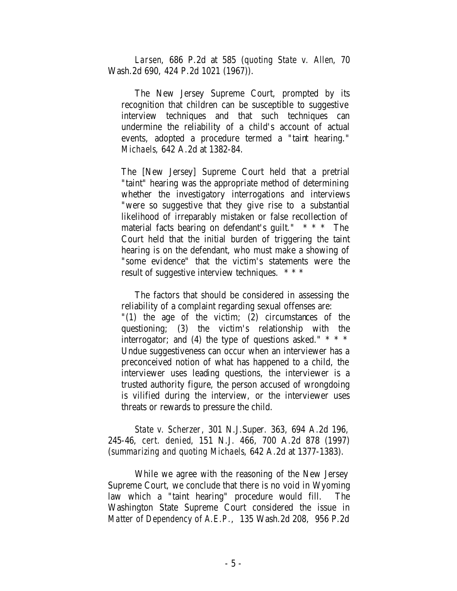*Larsen*, 686 P.2d at 585 (*quoting State v. Allen*, 70 Wash.2d 690, 424 P.2d 1021 (1967)).

The New Jersey Supreme Court, prompted by its recognition that children can be susceptible to suggestive interview techniques and that such techniques can undermine the reliability of a child's account of actual events, adopted a procedure termed a "taint hearing." *Michaels*, 642 A.2d at 1382-84.

The [New Jersey] Supreme Court held that a pretrial "taint" hearing was the appropriate method of determining whether the investigatory interrogations and interviews "were so suggestive that they give rise to a substantial likelihood of irreparably mistaken or false recollection of material facts bearing on defendant's guilt." \* \* \* The Court held that the initial burden of triggering the taint hearing is on the defendant, who must make a showing of "some evidence" that the victim's statements were the result of suggestive interview techniques. \* \* \*

The factors that should be considered in assessing the reliability of a complaint regarding sexual offenses are: "(1) the age of the victim; (2) circumstances of the questioning; (3) the victim's relationship with the interrogator; and (4) the type of questions asked."  $* * *$ Undue suggestiveness can occur when an interviewer has a preconceived notion of what has happened to a child, the interviewer uses leading questions, the interviewer is a trusted authority figure, the person accused of wrongdoing is vilified during the interview, or the interviewer uses threats or rewards to pressure the child.

*State v. Scherzer*, 301 N.J.Super. 363, 694 A.2d 196, 245-46, *cert. denied*, 151 N.J. 466, 700 A.2d 878 (1997) (*summarizing and quoting Michaels*, 642 A.2d at 1377-1383).

While we agree with the reasoning of the New Jersey Supreme Court, we conclude that there is no void in Wyoming law which a "taint hearing" procedure would fill. The Washington State Supreme Court considered the issue in *Matter of Dependency of A.E.P.*, 135 Wash.2d 208, 956 P.2d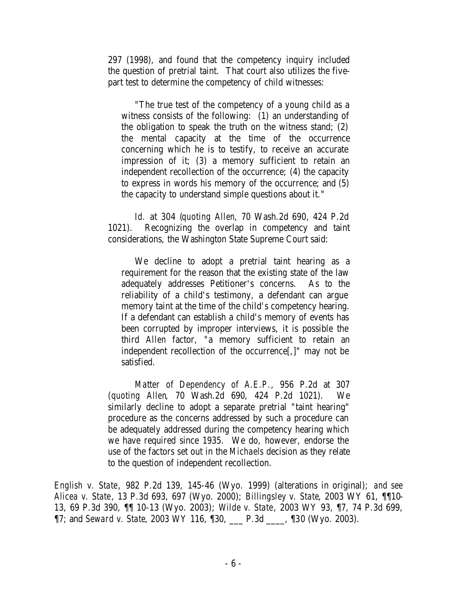297 (1998), and found that the competency inquiry included the question of pretrial taint. That court also utilizes the fivepart test to determine the competency of child witnesses:

"The true test of the competency of a young child as a witness consists of the following: (1) an understanding of the obligation to speak the truth on the witness stand; (2) the mental capacity at the time of the occurrence concerning which he is to testify, to receive an accurate impression of it; (3) a memory sufficient to retain an independent recollection of the occurrence; (4) the capacity to express in words his memory of the occurrence; and (5) the capacity to understand simple questions about it."

*Id.* at 304 (*quoting Allen*, 70 Wash.2d 690, 424 P.2d 1021). Recognizing the overlap in competency and taint considerations, the Washington State Supreme Court said:

We decline to adopt a pretrial taint hearing as a requirement for the reason that the existing state of the law adequately addresses Petitioner's concerns. As to the reliability of a child's testimony, a defendant can argue memory taint at the time of the child's competency hearing. If a defendant can establish a child's memory of events has been corrupted by improper interviews, it is possible the third *Allen* factor, "a memory sufficient to retain an independent recollection of the occurrence[,]" may not be satisfied.

*Matter of Dependency of A.E.P.*, 956 P.2d at 307 (*quoting Allen*, 70 Wash.2d 690, 424 P.2d 1021). We similarly decline to adopt a separate pretrial "taint hearing" procedure as the concerns addressed by such a procedure can be adequately addressed during the competency hearing which we have required since 1935. We do, however, endorse the use of the factors set out in the *Michaels* decision as they relate to the question of independent recollection.

*English v. State*, 982 P.2d 139, 145-46 (Wyo. 1999) (alterations in original); *and see Alicea v. State*, 13 P.3d 693, 697 (Wyo. 2000); *Billingsley v. State*, 2003 WY 61, ¶¶10- 13, 69 P.3d 390, ¶¶ 10-13 (Wyo. 2003); *Wilde v. State*, 2003 WY 93, ¶7, 74 P.3d 699, ¶7; and *Seward v. State*, 2003 WY 116, ¶30, \_\_\_ P.3d \_\_\_\_, ¶30 (Wyo. 2003).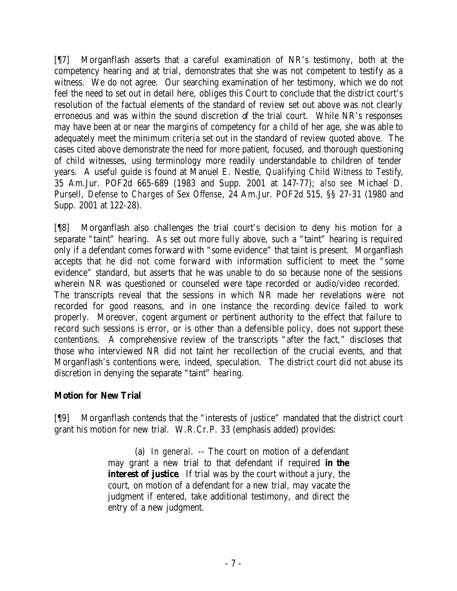[¶7] Morganflash asserts that a careful examination of NR's testimony, both at the competency hearing and at trial, demonstrates that she was not competent to testify as a witness. We do not agree. Our searching examination of her testimony, which we do not feel the need to set out in detail here, obliges this Court to conclude that the district court's resolution of the factual elements of the standard of review set out above was not clearly erroneous and was within the sound discretion of the trial court. While NR's responses may have been at or near the margins of competency for a child of her age, she was able to adequately meet the minimum criteria set out in the standard of review quoted above. The cases cited above demonstrate the need for more patient, focused, and thorough questioning of child witnesses, using terminology more readily understandable to children of tender years. A useful guide is found at Manuel E. Nestle, *Qualifying Child Witness to Testify*, 35 Am.Jur. POF2d 665-689 (1983 and Supp. 2001 at 147-77); *also see* Michael D. Pursell, *Defense to Charges of Sex Offense*, 24 Am.Jur. POF2d 515, §§ 27-31 (1980 and Supp. 2001 at 122-28).

[¶8] Morganflash also challenges the trial court's decision to deny his motion for a separate "taint" hearing. As set out more fully above, such a "taint" hearing is required only if a defendant comes forward with "some evidence" that taint is present. Morganflash accepts that he did not come forward with information sufficient to meet the "some evidence" standard, but asserts that he was unable to do so because none of the sessions wherein NR was questioned or counseled were tape recorded or audio/video recorded. The transcripts reveal that the sessions in which NR made her revelations were not recorded for good reasons, and in one instance the recording device failed to work properly. Moreover, cogent argument or pertinent authority to the effect that failure to record such sessions is error, or is other than a defensible policy, does not support these contentions. A comprehensive review of the transcripts "after the fact," discloses that those who interviewed NR did not taint her recollection of the crucial events, and that Morganflash's contentions were, indeed, speculation. The district court did not abuse its discretion in denying the separate "taint" hearing.

# **Motion for New Trial**

[¶9] Morganflash contends that the "interests of justice" mandated that the district court grant his motion for new trial. W.R.Cr.P. 33 (emphasis added) provides:

> (a) *In general*. -- The court on motion of a defendant may grant a new trial to that defendant if required **in the interest of justice**. If trial was by the court without a jury, the court, on motion of a defendant for a new trial, may vacate the judgment if entered, take additional testimony, and direct the entry of a new judgment.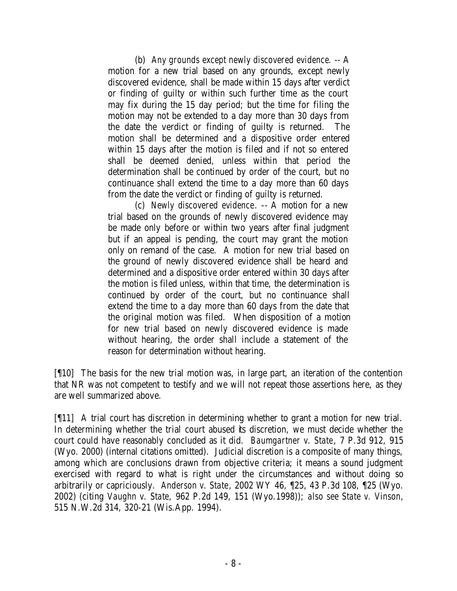(b) *Any grounds except newly discovered evidence*. -- A motion for a new trial based on any grounds, except newly discovered evidence, shall be made within 15 days after verdict or finding of guilty or within such further time as the court may fix during the 15 day period; but the time for filing the motion may not be extended to a day more than 30 days from the date the verdict or finding of guilty is returned. The motion shall be determined and a dispositive order entered within 15 days after the motion is filed and if not so entered shall be deemed denied, unless within that period the determination shall be continued by order of the court, but no continuance shall extend the time to a day more than 60 days from the date the verdict or finding of guilty is returned.

(c) *Newly discovered evidence*. -- A motion for a new trial based on the grounds of newly discovered evidence may be made only before or within two years after final judgment but if an appeal is pending, the court may grant the motion only on remand of the case. A motion for new trial based on the ground of newly discovered evidence shall be heard and determined and a dispositive order entered within 30 days after the motion is filed unless, within that time, the determination is continued by order of the court, but no continuance shall extend the time to a day more than 60 days from the date that the original motion was filed. When disposition of a motion for new trial based on newly discovered evidence is made without hearing, the order shall include a statement of the reason for determination without hearing.

[¶10] The basis for the new trial motion was, in large part, an iteration of the contention that NR was not competent to testify and we will not repeat those assertions here, as they are well summarized above.

[¶11] A trial court has discretion in determining whether to grant a motion for new trial. In determining whether the trial court abused its discretion, we must decide whether the court could have reasonably concluded as it did. *Baumgartner v. State*, 7 P.3d 912, 915 (Wyo. 2000) (internal citations omitted). Judicial discretion is a composite of many things, among which are conclusions drawn from objective criteria; it means a sound judgment exercised with regard to what is right under the circumstances and without doing so arbitrarily or capriciously. *Anderson v. State*, 2002 WY 46, ¶25, 43 P.3d 108, ¶25 (Wyo. 2002) (citing *Vaughn v. State*, 962 P.2d 149, 151 (Wyo.1998)); *also see State v. Vinson*, 515 N.W.2d 314, 320-21 (Wis.App. 1994).